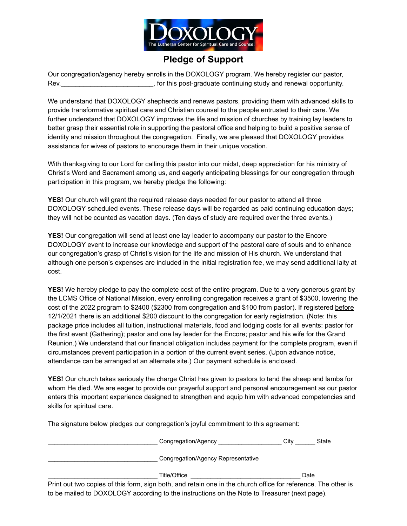

# **Pledge of Support**

Our congregation/agency hereby enrolls in the DOXOLOGY program. We hereby register our pastor, Rev.\_\_\_\_\_\_\_\_\_\_\_\_\_\_\_\_\_\_\_\_\_\_\_\_\_, for this post-graduate continuing study and renewal opportunity.

We understand that DOXOLOGY shepherds and renews pastors, providing them with advanced skills to provide transformative spiritual care and Christian counsel to the people entrusted to their care. We further understand that DOXOLOGY improves the life and mission of churches by training lay leaders to better grasp their essential role in supporting the pastoral office and helping to build a positive sense of identity and mission throughout the congregation. Finally, we are pleased that DOXOLOGY provides assistance for wives of pastors to encourage them in their unique vocation.

With thanksgiving to our Lord for calling this pastor into our midst, deep appreciation for his ministry of Christ's Word and Sacrament among us, and eagerly anticipating blessings for our congregation through participation in this program, we hereby pledge the following:

**YES!** Our church will grant the required release days needed for our pastor to attend all three DOXOLOGY scheduled events. These release days will be regarded as paid continuing education days; they will not be counted as vacation days. (Ten days of study are required over the three events.)

**YES!** Our congregation will send at least one lay leader to accompany our pastor to the Encore DOXOLOGY event to increase our knowledge and support of the pastoral care of souls and to enhance our congregation's grasp of Christ's vision for the life and mission of His church. We understand that although one person's expenses are included in the initial registration fee, we may send additional laity at cost.

**YES!** We hereby pledge to pay the complete cost of the entire program. Due to a very generous grant by the LCMS Office of National Mission, every enrolling congregation receives a grant of \$3500, lowering the cost of the 2022 program to \$2400 (\$2300 from congregation and \$100 from pastor). If registered before 12/1/2021 there is an additional \$200 discount to the congregation for early registration. (Note: this package price includes all tuition, instructional materials, food and lodging costs for all events: pastor for the first event (Gathering); pastor and one lay leader for the Encore; pastor and his wife for the Grand Reunion.) We understand that our financial obligation includes payment for the complete program, even if circumstances prevent participation in a portion of the current event series. (Upon advance notice, attendance can be arranged at an alternate site.) Our payment schedule is enclosed.

**YES!** Our church takes seriously the charge Christ has given to pastors to tend the sheep and lambs for whom He died. We are eager to provide our prayerful support and personal encouragement as our pastor enters this important experience designed to strengthen and equip him with advanced competencies and skills for spiritual care.

The signature below pledges our congregation's joyful commitment to this agreement:

| Congregation/Agency                | Citv | State |
|------------------------------------|------|-------|
| Congregation/Agency Representative |      |       |
| Title/Office                       |      | Date  |

Print out two copies of this form, sign both, and retain one in the church office for reference. The other is to be mailed to DOXOLOGY according to the instructions on the Note to Treasurer (next page).